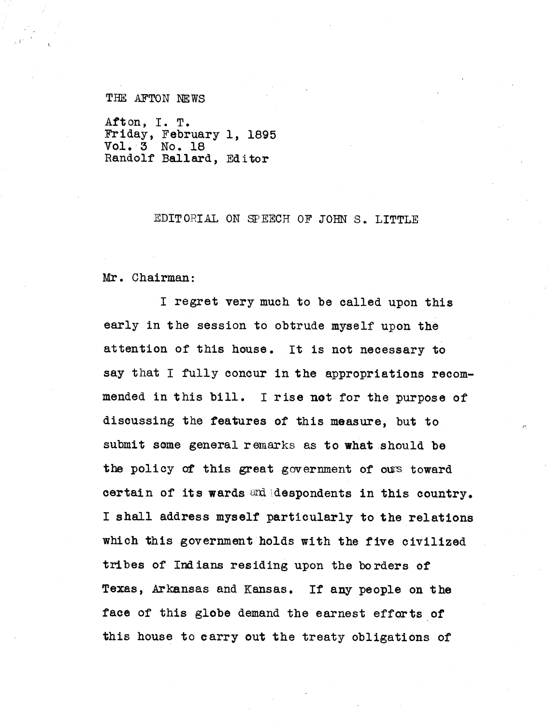## THE AFTON NEWS

Afton, I. T. Friday, February 1, 1895 Vol. 3 No. 18 Randolf Ballard, Editor

## EDITORIAL ON SPEECH OF JOHN S., LITTLE

Mr. Chairman:

I regret very much to be called upon this early in the session to obtrude myself upon the attention of this house. It is not necessary to say that I fully concur in the appropriations recommended in this bill. I rise not for the purpose of discussing the features of this measure, but to submit **some** general remarks as to what should be the policy of this great government of ours toward certain of its wards and despondents in this country. I shall address myself particularly **to the relations which this** government holds with the five civilized tribes of Indians residing upon the borders of Texas, Arkansas and Kansas. If any people on the face of this globe demand the earnest efforts of this house to carry out the treaty obligations of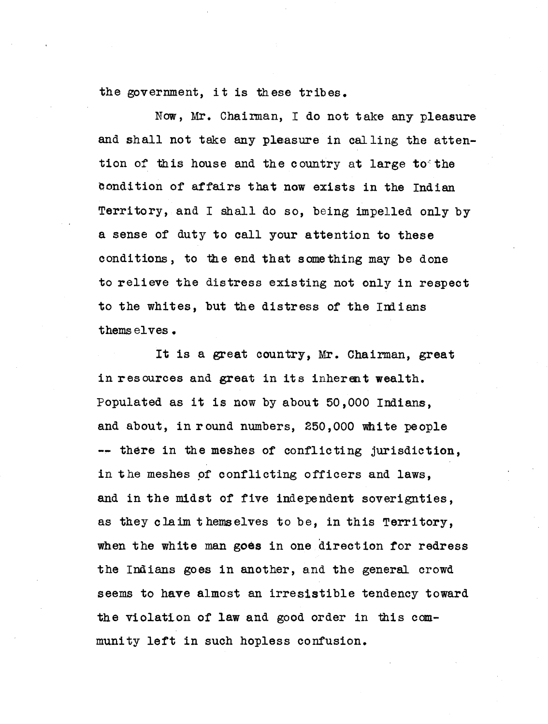the government, it is these tribes.

Now, Mr. Chairman, I do not take any pleasure and shall not take any pleasure in calling the attention of this house and the country at large to the Condition of affairs that now exists in the Indian Territory, and I shall do so, being impelled only by a sense of duty to call your attention to these conditions, to the end that something may be done to relieve the distress existing not only in respect to the whites, but **the distress** of the Indians thems elves.

It is a great country, Mr. Chairman, great in resources and great in its inherent wealth. Populated as it is now by about 50,000 Indians, and about, in round numbers, 250,000 white people -- there in the meshes of conflicting jurisdiction, in the meshes of conflicting officers and laws, and in the midst of five independent soverignties, as they claim themselves to be, in this Territory, when the white man goes in one direction for redress the Indians goes in another, and the general crowd seems to have almost an irresistible tendency toward the violation of law and good order in this community left in such hopless confusion.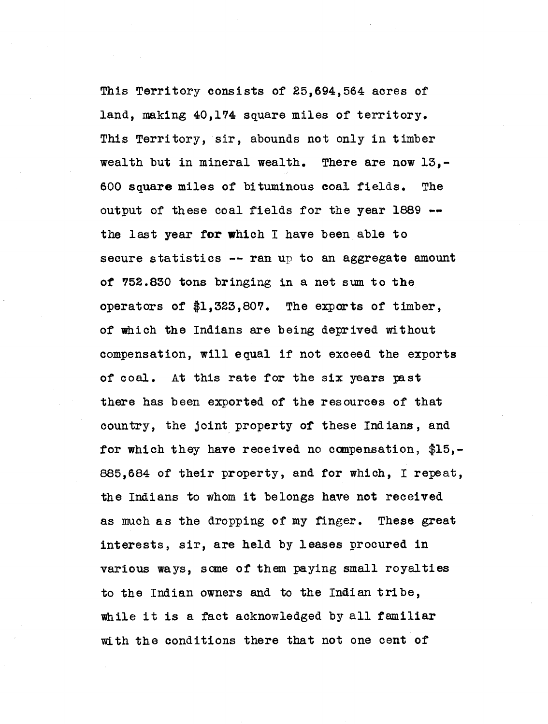This Territory consists of 25,694,564 acres of land, making 40,174 square miles of territory. This Territory, sir, abounds not only in timber wealth but in mineral wealth. There are now 13,- 600 square miles of bituminous coal fields. The output of these coal fields for the year 1889 -the last year for which I have been able to secure statistics  $--$  ran up to an aggregate amount of 752.830 tons bringing in a net sum to the operators of \$1,323,807. The exports of timber, of which the Indians are being deprived without compensation, will equal if not exceed the exports of coal. At this rate for the six years past there has been exported of the resources of that country, the joint property of these Indians, and for which they have received no compensation, \$15,- 885,684 of their property, and for which, I repeat, the Indians to whom it belongs have not received as much as the dropping of my finger. These great interests, sir, are held by leases procured in various ways, some of them paying small royalties to the Indian owners and to the Indian tribe, while it is a fact acknowledged by all familiar with the conditions there that not one cent of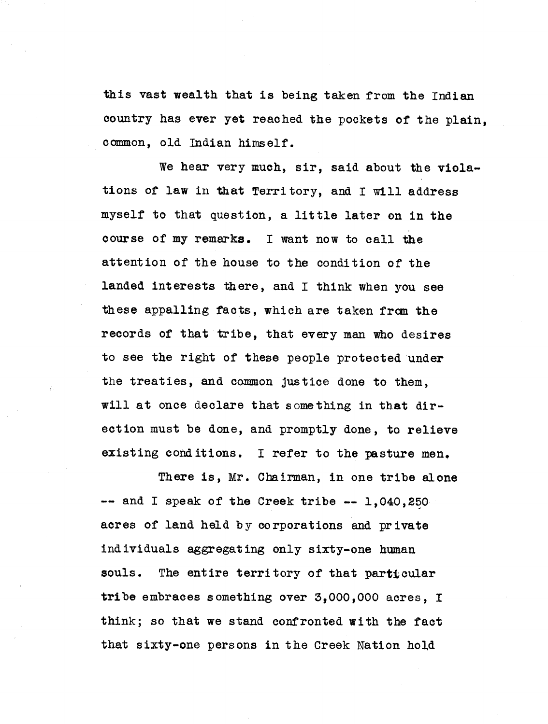this vast wealth that is being taken from the Indian country has ever yet reached the pockets of the plain, common, old Indian himself.

We hear very much, sir, said about the violations of law in that Territory, and I will address myself to that question, a little later on in the course of my remarks. I want now to call the attention of the house to the condition of the landed interests there, and I think when you see these appalling facts, which are taken from the records of that tribe, that every man who desires to see the right of these people protected under the treaties, and common justice done to them, will at once declare that something in that direction must be done, and promptly done, to relieve existing conditions. I refer to the pasture men.

There **is,** Mr. Chairman, in one tribe alone  $--$  and I speak of the Creek tribe  $--$  1,040,250 acres of land held by corporations and private individuals aggregating only sixty-one human souls. The entire territory of that particular tribe embraces something over 3,000,000 acres, I think; so that we stand confronted with the fact that sixty-one persons in the Creek Nation hold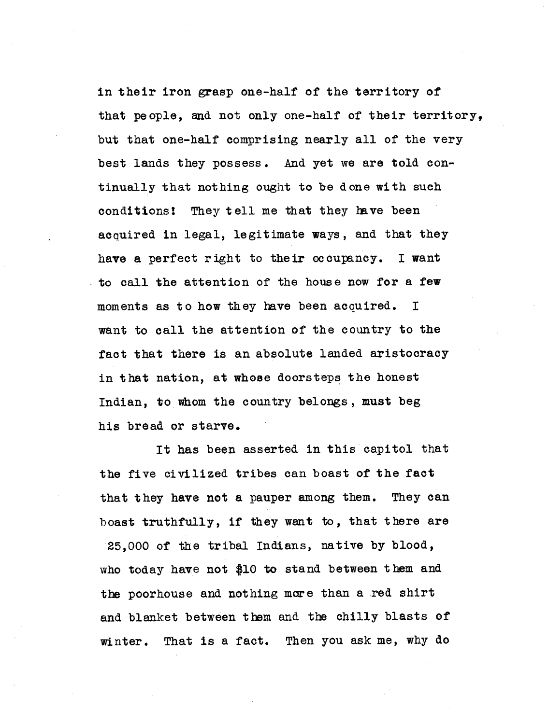in their iron grasp **one** -half of the territory of that people, and not only one-half of their territory, but that one-half comprising nearly all of the very best lands they possess. And yet we are told continually that nothing ought to be done with such conditions! They tell me that they have been acquired in legal, legitimate ways, and that they have a perfect right to their occupancy. I want to call the attention of the house now for a few moments as to how they have been acquired. I want to call the attention of the country to the fact that there is an absolute landed aristocracy in that nation, at whose doorsteps the honest Indian, to whom the country belongs, must beg his bread or starve.

It has been asserted in this capitol that the five civilized tribes can boast of the fact that they have not a pauper among them. They can boast truthfully, if they want to, that there are 25,000 of the tribal Indians, native by blood, who today have not \$10 to stand between them and the poorhouse and nothing more than a red shirt and blanket between them and the chilly blasts of winter. That is a fact. Then you ask me, why do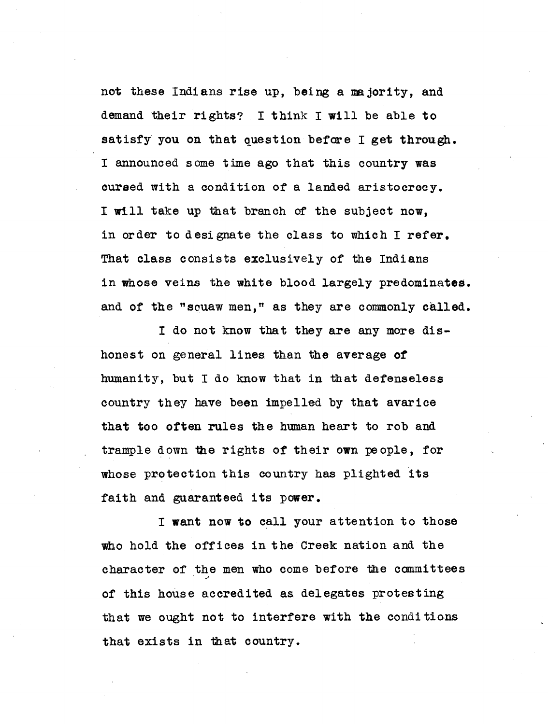not these Indians rise up, being a majority, and demand their rights? I think I will be able to satisfy you on that question before I get through. I announced some time ago that this country was cursed with a condition of a landed aristocrocy. I will take up that branch of the subject now, in order to designate the class to which I refer, That class consists exclusively of the Indians in whose veins the white blood largely predominates. and of the "squaw men," as they are commonly called.

I do not know that they are any more dishonest on general lines than the average of humanity, but I do know that in that defenseless country they have been impelled by that avarice that too often rules the human heart to rob and trample down the rights of their own people, for whose protection this country has plighted **its** faith and guaranteed its power.

I want now to call your attention to those who hold the offices in the Creek nation and the character of the men who come before the committees of this house accredited as delegates protesting that we ought not to interfere with the conditions that exists in that country.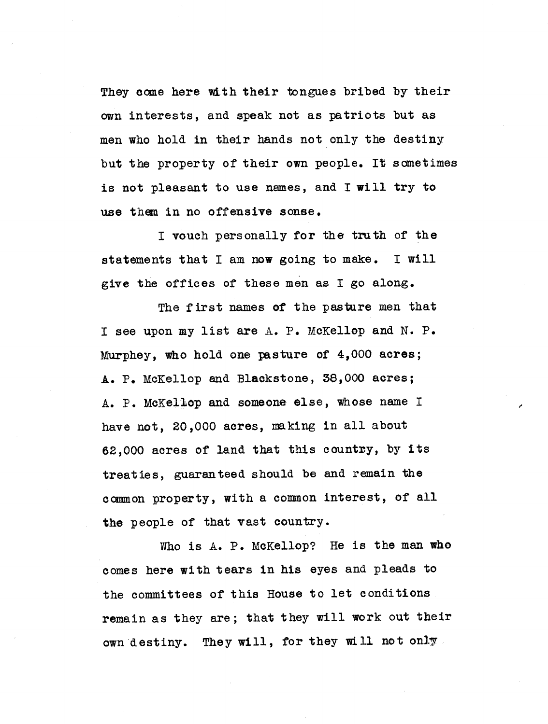They **acme here with** their tongues bribed by their own interests, and speak not as patriots but as men who hold in their hands not only the destiny but the property of their own people. It sometimes is not pleasant to use names, and **I** will try **to** use them in no offensive sonse.

I vouch personally for the truth of the statements that I am now going to make. I will give the offices of these men as I go along.

The first names of the pasture men that I see upon my list are A. P. McKellop and N. P. Murphey, who hold one pasture of 4,000 acres; A. P. McKellop and Blackstone, 38,000 acres; A. P. McKellop and someone else, whose name I have not, 20,000 acres, ma king in all about 62,000 acres of land that this country, by **its** treaties, guaranteed should be and remain the common property, with a common interest, of all the people of that vast country.

Who is **A.** P. MoKellop? He is the man who comes here with tears **in his** eyes and pleads to the committees of this House to let conditions remain as they are; that they **will** work out their own destiny. They **will,** for they will not only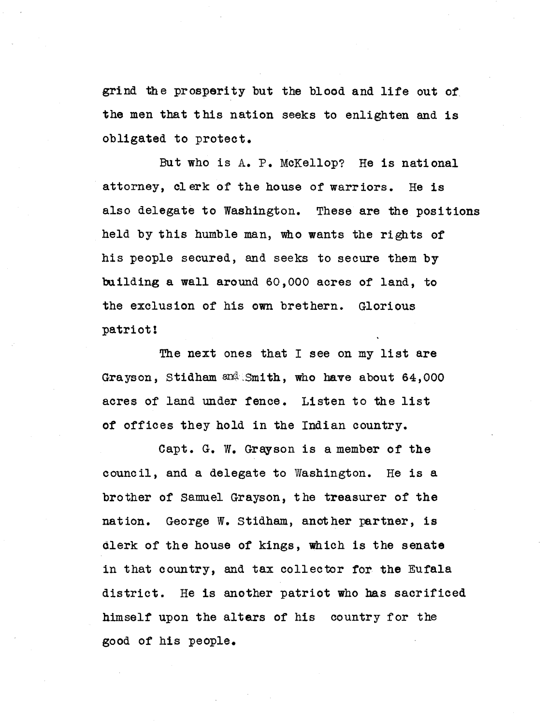grind the prosperity but the blood and life out of. **the** men that this nation **seeks to** enlighten and is obligated to protect.

But who is A. P. McKellop? He is national attorney, clerk of the house of warriors. He is also delegate to Washington. These are the positions held by this humble man, who wants the rights of his people secured, and seeks to secure them by building a wall around 60,000 acres of land, to the exclusion of his own brethern. Glorious patriot!

The next ones that I see on my list are Grayson, Stidham  $\frac{1}{2}$  Smith, who have about 64,000 acres of land under fence. Listen to the list of offices they hold in the Indian country.

Capt. G. W. Grayson is a member of the council, and a delegate to Washington. He is a brother of Samuel Grayson, the treasurer of the nation. George W. Stidham, another partner, is clerk of the house of kings, which is the senate in that country, and tax collector for the Eufala district. He is another patriot who has sacrificed himself upon the altars of his country for the good of his people.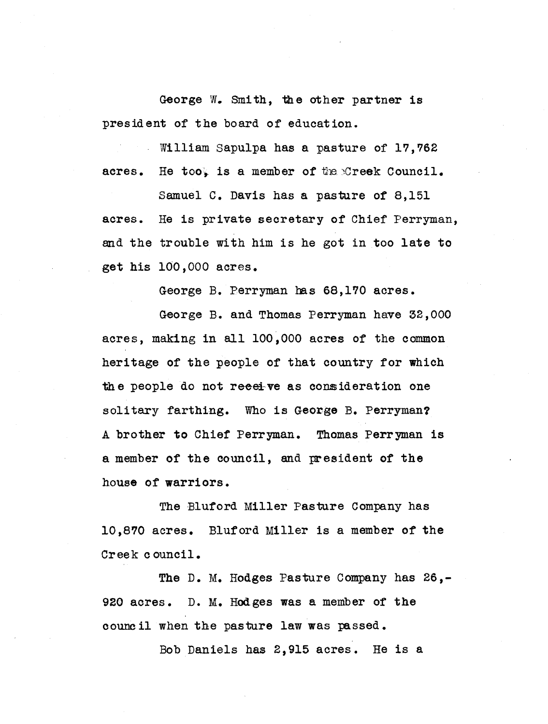George N. Smith, the other partner is president of the board of education.

William Sapulpa has a pasture of 17,762 acres. He too, is a member of the Creek Council.

Samuel C. Davis has a pasture of 8,151 acres. He is private secretary of Chief Perryman, and the trouble with him is he got in too late to get his 100,000 acres.

George B. Perryman bas 68,170 acres.

George B. and Thomas Perryman have 32,000 acres, making in all 100,000 acres of the common heritage of the people of that country for which the people do not **reeeive** as consideration one solitary farthing. Who is George B. Perryman? A brother to Chief Perryman. Thomas Perryman is a member of the council, and president of the house of warriors.

The Bluford Miller Pasture Company has 10,870 acres. Bluford Miller is a member of the Creek council.

The D. M. Hodges Pasture Company has 26,-920 acres. D. M. Hodges was a member of the council when the pasture law was passed.

Bob Daniels has 2,915 acres. He is a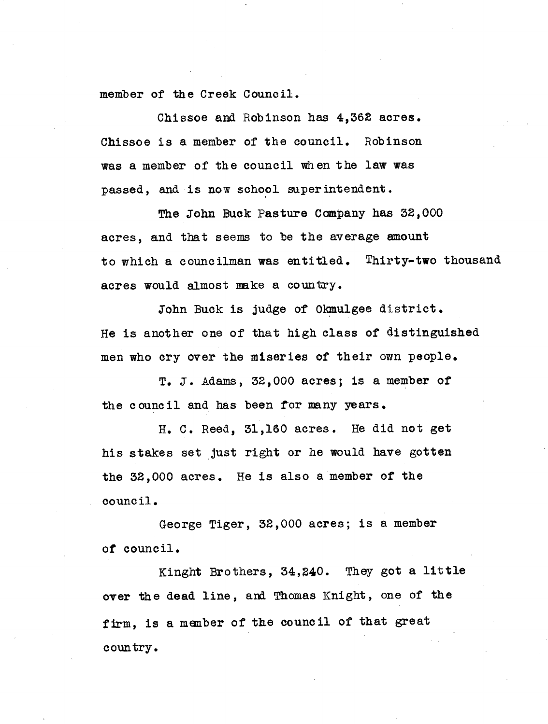member of the Creek Council.

Chissoe and Robinson has 4,362 acres. Chissoe is a member of the council. Robinson was a member of the council when the law was passed, and is now school superintendent.

The John Buck Pasture Company has 32,000 acres, and that seems to be the average amount to which a councilman was entitled. Thirty-two thousand acres would almost make a country.

John Buck is judge of Okmulgee district. He is another one of that high class of distinguished men who cry over the miseries of their own people.

T. J. Adams, 32,000 acres; is a member of the council and has been for many years.

H. C. Reed, 31,160 acres. He did not get his stakes set just right or he would have gotten the 32,000 acres. He is also a member of the council.

George Tiger, 32,000 acres; is a member of council.

Kinght Brothers, 34,240. They got a **little over the** dead line, and Thomas Knight, one of the firm, is a menber of the council of that great country.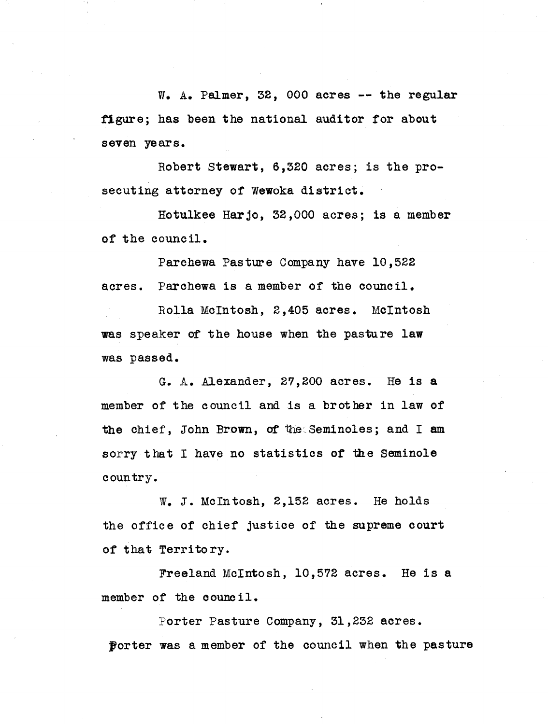W. A. Palmer, 32, 000 acres -- the regular figure; has been the national auditor for about seven years.

Robert Stewart, 6,320 acres; is the prosecuting attorney of Wewoka district.

Hotulkee Harjo, 32,000 acres; is a member of the council.

Parchewa Pastime Company have 10,522 acres. Parchewa is a member of the council.

Rolla McIntosh, 2,405 acres. McIntosh was speaker of the house when the pasture law was passed.

G. A. Alexander, 27,200 acres. He is **<sup>a</sup>** member of the council and is a brother in law of the chief, John Brown, of the Seminoles; and I am sorry that I have no statistics of the Seminole country.

W. J. McIntosh, 2,152 acres. He holds the office of chief justice of the supreme court of that Territory.

Freeland McIntosh, 10,572 acres. He is **a** member of the council.

Porter Pasture Company, 31,232 acres. porter was a member of the council when the pasture